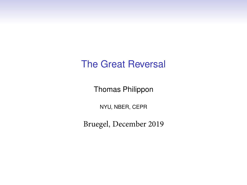## The Great Reversal

Thomas Philippon

NYU, NBER, CEPR

Bruegel, December 2019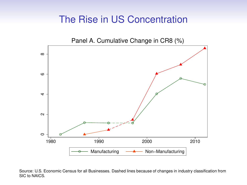## The Rise in US Concentration



Source: U.S. Economic Census for all Businesses. Dashed lines because of changes in industry classification from SIC to NAICS.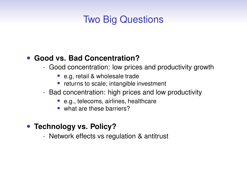# Two Big Questions

#### • **Good vs. Bad Concentration?**

- Good concentration: low prices and productivity growth
	- e.g, retail & wholesale trade
	- returns to scale; intangible investment
- Bad concentration: high prices and low productivity
	- e.g., telecoms, airlines, healthcare
	- what are these barriers?
- **Technology vs. Policy?**
	- Network effects vs regulation & antitrust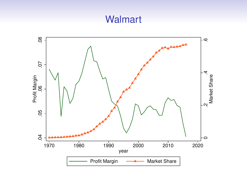## **Walmart**

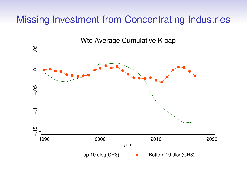## Missing Investment from Concentrating Industries

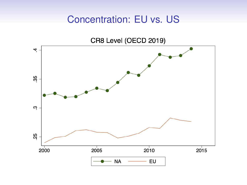#### Concentration: EU vs. US

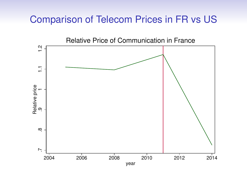#### Comparison of Telecom Prices in FR vs US

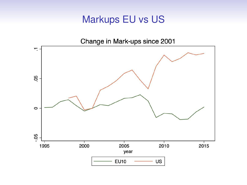## Markups EU vs US

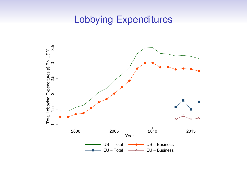#### Lobbying Expenditures

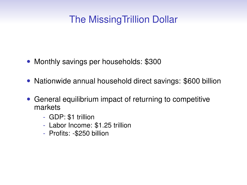# The MissingTrillion Dollar

- Monthly savings per households: \$300
- Nationwide annual household direct savings: \$600 billion
- General equilibrium impact of returning to competitive markets
	- GDP: \$1 trillion
	- Labor Income: \$1.25 trillion
	- Profits: -\$250 billion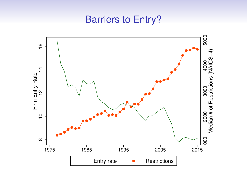#### Barriers to Entry?

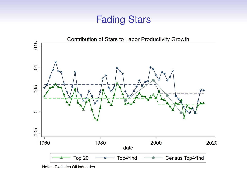#### Fading Stars



Notes: Excludes Oil industries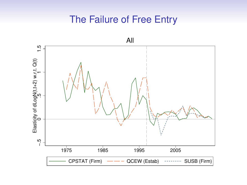# The Failure of Free Entry